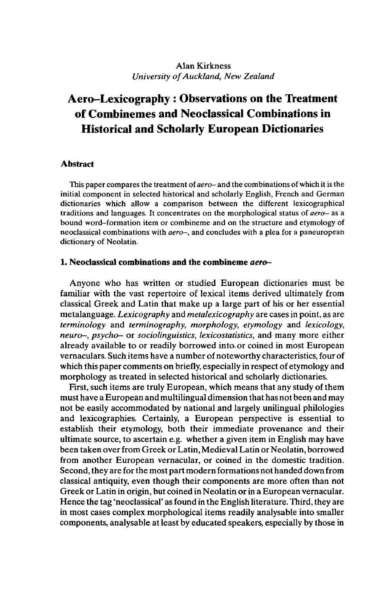## Alan Kirkness *University ofAuckland, New Zealand*

# **Aero-Lexicography : Observations on the Treatment of Combinemes and Neoclassical Combinations in Historical and Scholarly European Dictionaries**

### **Abstract**

This paper compares the treatment of*aero-* and the combinations of which it is the initial component in selected historical and scholarly English, French and German dictionaries which allow a comparison between the different lexicographical traditions and languages. It concentrates on the morphological status of *aero-* as a bound word-formation item or combineme and on the structure and etymology of neoclassical combinations with *aero-,* and concludes with a plea for a paneuropean dictionary of Neolatin.

#### **1. Neoclassical combinations and the combineme** *aero-*

*Anyone* who has written or studied European dictionaries must be familiar with the vast repertoire of lexical items derived ultimately from classical Greek and Latin that make up a large part of his or her essential metalanguage. *Lexicography* and *metalexicography* are cases in point, as are *terminology* and *terminography, morphology, etymology* and *lexicology, neuro-, psycho-* or *sociolinguistics, lexicostatistics,* and many more either already available to or readily borrowed into, or coined in most European vernaculars. Such items have a number of noteworthy characteristics, four of which this paper comments on briefly, especially in respect of etymology and morphology as treated in selected historical and scholarly dictionaries.

First, such items are truly European, which means that any study of them must have a European and multilingual dimension that has not been and may not be easily accommodated by national and largely unilingual philologies and lexicographies. Certainly, a European perspective is essential to establish their etymology, both their immediate provenance and their ultimate source, to ascertain e.g. whether a given item in English may have been taken over from Greek or Latin, Medieval Latin or Neolatin, borrowed from another European vernacular, or coined in the domestic tradition. Second, they are for the most partmodern formations not handed down from classical antiquity, even though their components are more often than not Greek or Latin in origin, but coined in Neolatin or in a European vernacular. Hence the tag 'neoclassical' as found in the English literature. Third, they are in most cases complex morphological items readily analysable into smaller components, analysable atleast by educated speakers, especially by those in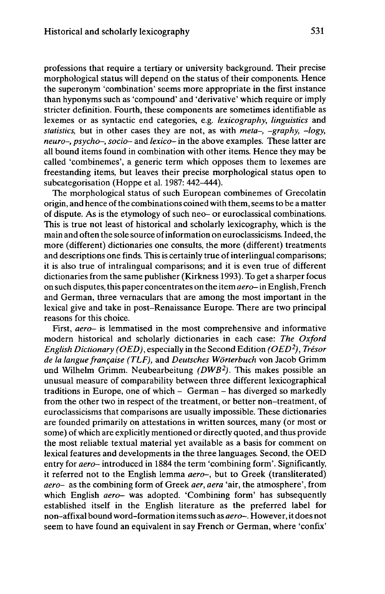professions that require a tertiary or university background. Their precise morphological status will depend on the status of their components. Hence the superonym 'combination' seems more appropriate in the first instance than hyponyms such as 'compound' and 'derivative' which require or imply stricter definition. Fourth, these components are sometimes identifiable as lexemes or as syntactic end categories, e.g. *lexicography, linguistics* and *statistics,* but in other cases they are not, as with *meta-, -graphy, -logy, neuro-, psycho-, socio-* and *lexico-* in the above examples. These latter are all bound items found in combination with other items. Hence they may be called 'combinemes', a generic term which opposes them to lexemes are freestanding items, but leaves their precise morphological status open to subcategorisation (Hoppe et al. 1987: 442-444).

The morphological status of such European combinemes of Grecolatin origin, and hence ofthe combinations coined with them, seems to be a matter of dispute. As is the etymology of such neo- or euroclassical combinations. This is true not least of historical and scholarly lexicography, which is the main and often the sole source ofinformation on euroclassicisms. Indeed, the more (different) dictionaries one consults, the more (different) treatments and descriptions one finds. This is certainly true of interlingual comparisons; it is also true of intralingual comparisons; and it is even true of different dictionaries from the same publisher (Kirkness 1993). To get a sharper focus on such disputes, this paper concentrates on the item *aero-*in English, French and German, three vernaculars that are among the most important in the lexical give and take in post-Renaissance Europe. There are two principal reasons for this choice.

First, *aero-* is lemmatised in the most comprehensive and informative modern historical and scholarly dictionaries in each case: *The Oxford English Dictionary (OED),* especially in the Second Edition *(OED<sup>2</sup> ), Trésor de la langue française (TLF),* and *Deutsches Wörterbuch* von Jacob Grimm und Wilhelm Grimm. Neubearbeitung *(DWB<sup>2</sup> ).* This makes possible an unusual measure of comparability between three different lexicographical traditions in Europe, one of which - German - has diverged so markedly from the other two in respect of the treatment, or better non-treatment, of euroclassicisms that comparisons are usually impossible. These dictionaries are founded primarily on attestations in written sources, many (or most or some) of which are explicitly mentioned or directly quoted, and thus provide the most reliable textual material yet available as a basis for comment on lexical features and developments in the three languages. Second, the OED entry for *aero-* introduced in 1884 the term 'combining form'. Significantly, it referred not to the English lemma *aero-,* but to Greek (transliterated) *aero-* as the combining form of Greek *aer, aera* 'air, the atmosphere', from which English *aero-* was adopted. 'Combining form' has subsequently established itself in the English literature as the preferred label for non-affixal bound word-formation itemssuch as *aero-.* However, it does not seem to have found an equivalent in say French or German, where 'confix'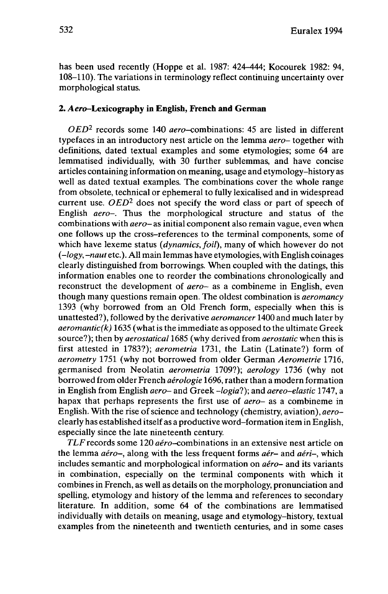has been used recently (Hoppe et al. 1987: 424-444; Kocourek 1982: 94, 108-110). The variations in terminology reflect continuing uncertainty over morphological status.

# **2. Aero-Lexicography in English, French and German**

*OED<sup>2</sup>* records some 140 aero-combinations: 45 are listed in different typefaces in an introductory nest article on the lemma *aero-* together with definitions, dated textual examples and some etymologies; some 64 are lemmatised individually, with 30 further sublemmas, and have concise articles containing information on meaning, usage and etymology-history as well as dated textual examples. The combinations cover the whole range from obsolete, technical or ephemeral to fully lexicalised and in widespread current use. *OED<sup>2</sup>* does not specify the word class or part of speech of English *aero-.* Thus the morphological structure and status of the combinations with *aero-* as initial component also remain vague, even when one follows up the cross-references to the terminal components, some of which have lexeme status *(dynamics, foil),* many of which however do not *(-logy,-naut* etc.). All main lemmas have etymologies, with English coinages clearly distinguished from borrowings. When coupled with the datings, this information enables one to reorder the combinations chronologically and reconstruct the development of *aero-* as a combineme in English, even though many questions remain open. The oldest combination is *aeromancy* 1393 (why borrowed from an Old French form, especially when this is unattested?), followed by the derivative *aeromancer* 1400 and much later by  $a$ eromantic( $k$ ) 1635 (what is the immediate as opposed to the ultimate Greek source?); then by *aerostatical* 1685 (why derived from *aerostatic* when this is first attested in 1783?); *aerometria* 1731, the Latin (Latinate?) form of *aerometry* 1751 (why not borrowed from older German *Aerometrie* 1716, germanised from Neolatin *aerometria* 1709?); *aerology* 1736 (why not borrowed from older French *aérologie* 1696, rather than a modern formation in English from English *aero-* and Greek *-logial);* and *aereo-elastic* 1747, a hapax that perhaps represents the first use of *aero-* as a combineme in English. With the rise of science and technology (chemistry, aviation), *aero*clearly has established itself as a productive word-formation item in English, especially since the late nineteenth century.

*TLF* records some 120 aéro-combinations in an extensive nest article on the lemma *aéro-,* along with the less frequent forms *aér-* and *aéri-,* which includes semantic and morphological information on *aéro-* and its variants in combination, especially on the terminal components with which it combines in French, as well as details on the morphology, pronunciation and spelling, etymology and history of the lemma and references to secondary literature. In addition, some 64 of the combinations are lemmatised individually with details on meaning, usage and etymology-history, textual examples from the nineteenth and twentieth centuries, and in some cases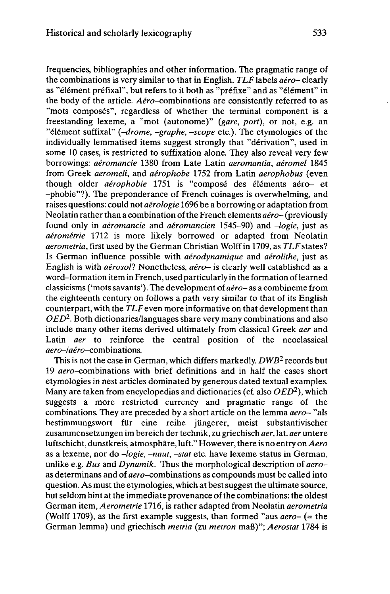frequencies, bibliographies and other information. The pragmatic range of the combinations is very similar to that in English. *TLF*labels *aéro-* clearly as "élément préfixai", but refers to it both as "préfixe" and as "élément" in the body of the article. *Aéro*-combinations are consistently referred to as "mots composés", regardless of whether the terminal component is a freestanding lexeme, a "mot (autonome)" *(gare, port),* or not, e.g. an "élément suffixal" *(-drome, -graphe, -scope* etc.). The etymologies of the individually lemmatised items suggest strongly that "dérivation", used in some 10 cases, is restricted to suffixation alone. They also reveal very few borrowings: *aéromancie* 1380 from Late Latin *aeromantia, aéromel* 1845 from Greek *aeromeli,* and *aerophobe* 1752 from Latin *aerophobus* (even though older *aérophobie* 1751 is "composé des éléments aéro- et -phobie"?). The preponderance of French coinages is overwhelming, and raises questions: could not *aérologie* 1696 be a borrowing or adaptation from Neolatin rather than a combination of the French elements *aéro-*(previously found only in *aéromancie* and *aéromancien* 1545-90) and *-logie,* just as *aérométrie* 1712 is more likely borrowed or adapted from Neolatin *aerometria,* first used by the German Christian Wolff in 1709, as *TLF*states? Is German influence possible with *aérodynamique* and *aérolithe,* just as English is with *aerosol!* Nonetheless, *aéro-* is clearly well established as a word-formation item in French, used particularly in the formation oflearned classicisms ('mots savants'). The development of *aéro-* as a combineme from the eighteenth century on follows a path very similar to that of its English counterpart, with the  $TLF$  even more informative on that development than *OED<sup>2</sup> .* Both dictionaries/languages share very many combinations and also include many other items derived ultimately from classical Greek *aer* and Latin *aer* to reinforce the central position of the neoclassical aero-/aéro-combinations.

This is not the case in German, which differs markedly. *DWB<sup>2</sup>* records but 19 aero-combinations with brief definitions and in half the cases short etymologies in nest articles dominated by generous dated textual examples. Many are taken from encyclopedias and dictionaries (cf. also *OED<sup>2</sup> ),* which suggests a more restricted currency and pragmatic range of the combinations. They are preceded by a short article on the lemma *aero-* "als bestimmungswort für eine reihe jüngerer, meist substantivischer Zusammensetzungen im bereich der technik, zu griechisch *aer,* lat. *aer* untere luftschicht, dunstkreis, atmosphäre, luft." However, there is no entry on*Aero* as a lexeme, nor do *-logie, -naut, -stat* etc. have lexeme status in German, unlike e.g. *Bus* and *Dynamik.* Thus the morphological description of *aero*as determinans and of aero-combinations as compounds must be called into question. As must the etymologies, which at best suggest the ultimate source, but seldom hint at the immediate provenance of the combinations: the oldest German item, *Aerometrie* 1716, is rather adapted from Neolatin *aerometria* (Wolff 1709), as the first example suggests, than formed "aus *aero-* (= the German lemma) und griechisch *metria* (zu *metron* maß)"; *Aerostat* 1784 is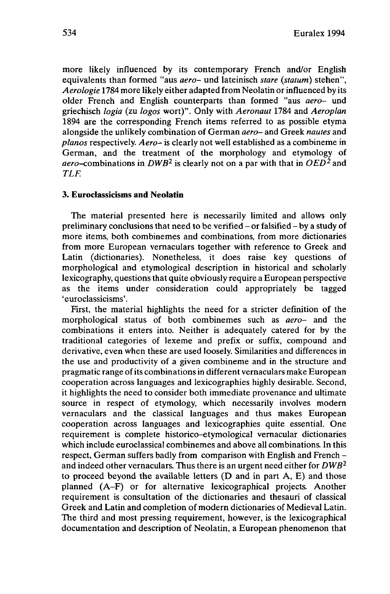more likely influenced by its contemporary French and/or English equivalents than formed "aus *aero-* und lateinisch *stare (statum)* stehen", *Aerologie* 1784 more likely either adapted from Neolatin orinfluenced by its older French and English counterparts than formed "aus *aero-* und griechisch *logia* (zu *logos* wort)". Only with *Aeronaut* 1784 and *Aeroplan* 1894 are the corresponding French items referred to as possible etyma alongside the unlikely combination of German *aero-* and Greek *nautes* and *pianos* respectively. *Aero-* is clearly not well established as a combineme in German, and the treatment of the morphology and etymology of aero-combinations in *DWB<sup>2</sup>* is clearly not on <sup>a</sup> par with that in *OED<sup>2</sup>* and *TLF.*

#### **3. Euroclassicisms and Neolatin**

The material presented here is necessarily limited and allows only preliminary conclusions that need to be verified - or falsified - by <sup>a</sup> study of more items, both combinemes and combinations, from more dictionaries from more European vernaculars together with reference to Greek and Latin (dictionaries). Nonetheless, it does raise key questions of morphological and etymological description in historical and scholarly lexicography, questions that quite obviously require a European perspective as the items under consideration could appropriately be tagged 'euroclassicisms'.

First, the material highlights the need for a stricter definition of the morphological status of both combinemes such as *aero-* and the combinations it enters into. Neither is adequately catered for by the traditional categories of lexeme and prefix or suffix, compound and derivative, even when these are used loosely. Similarities and differences in the use and productivity of a given combineme and in the structure and pragmatic range of its combinations in different vernaculars make European cooperation across languages and lexicographies highly desirable. Second, it highlights the need to consider both immediate provenance and ultimate source in respect of etymology, which necessarily involves modern vernaculars and the classical languages and thus makes European cooperation across languages and lexicographies quite essential. One requirement is complete historico-etymological vernacular dictionaries which include euroclassical combinemes and above all combinations. In this respect, German suffers badly from comparison with English and French and indeed other vernaculars. Thus there is an urgent need either for *DWB<sup>2</sup>* to proceed beyond the available letters (D and in part A, E) and those planned (A-F) or for alternative lexicographical projects. Another requirement is consultation of the dictionaries and thesauri of classical Greek and Latin and completion of modern dictionaries of Medieval Latin. The third and most pressing requirement, however, is the lexicographical documentation and description of Neolatin, a European phenomenon that